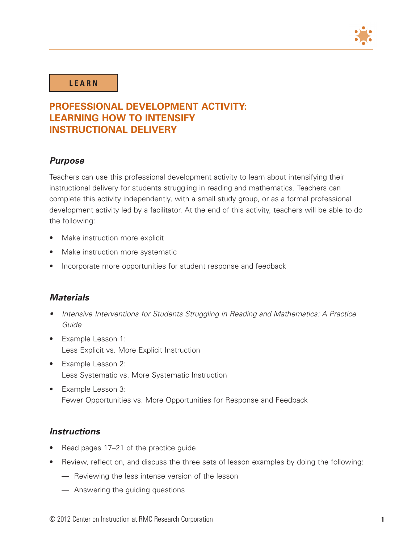

#### **L E A R N**

# **PROFESSIONAL DEVELOPMENT ACTIVITY: LEARNING HOW TO INTENSIFY INSTRUCTIONAL DELIVERY**

#### *Purpose*

Teachers can use this professional development activity to learn about intensifying their instructional delivery for students struggling in reading and mathematics. Teachers can complete this activity independently, with a small study group, or as a formal professional development activity led by a facilitator. At the end of this activity, teachers will be able to do the following:

- Make instruction more explicit
- Make instruction more systematic
- Incorporate more opportunities for student response and feedback

#### *Materials*

- Intensive Interventions for Students Struggling in Reading and Mathematics: A Practice Guide
- • Example Lesson 1: Less Explicit vs. More Explicit Instruction
- Example Lesson 2: Less Systematic vs. More Systematic Instruction
- Example Lesson 3: Fewer Opportunities vs. More Opportunities for Response and Feedback

### *Instructions*

- Read pages 17–21 of the practice guide.
- Review, reflect on, and discuss the three sets of lesson examples by doing the following:
	- Reviewing the less intense version of the lesson
	- Answering the guiding questions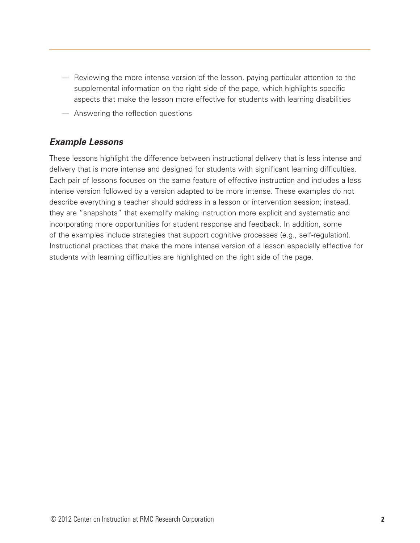- Reviewing the more intense version of the lesson, paying particular attention to the supplemental information on the right side of the page, which highlights specific aspects that make the lesson more effective for students with learning disabilities
- Answering the reflection questions

### *Example Lessons*

These lessons highlight the difference between instructional delivery that is less intense and delivery that is more intense and designed for students with significant learning difficulties. Each pair of lessons focuses on the same feature of effective instruction and includes a less intense version followed by a version adapted to be more intense. These examples do not describe everything a teacher should address in a lesson or intervention session; instead, they are "snapshots" that exemplify making instruction more explicit and systematic and incorporating more opportunities for student response and feedback. In addition, some of the examples include strategies that support cognitive processes (e.g., self-regulation). Instructional practices that make the more intense version of a lesson especially effective for students with learning difficulties are highlighted on the right side of the page.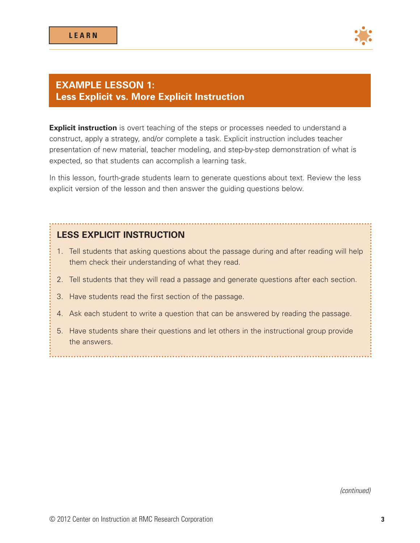

## **EXAMPLE LESSON 1: Less Explicit vs. More Explicit Instruction**

**Explicit instruction** is overt teaching of the steps or processes needed to understand a construct, apply a strategy, and/or complete a task. Explicit instruction includes teacher presentation of new material, teacher modeling, and step-by-step demonstration of what is expected, so that students can accomplish a learning task.

In this lesson, fourth-grade students learn to generate questions about text. Review the less explicit version of the lesson and then answer the guiding questions below.

## **LESS EXPLICIT INSTRUCTION**

- 1. Tell students that asking questions about the passage during and after reading will help them check their understanding of what they read.
- 2. Tell students that they will read a passage and generate questions after each section.
- 3. Have students read the first section of the passage.
- 4. Ask each student to write a question that can be answered by reading the passage.
- 5. Have students share their questions and let others in the instructional group provide the answers.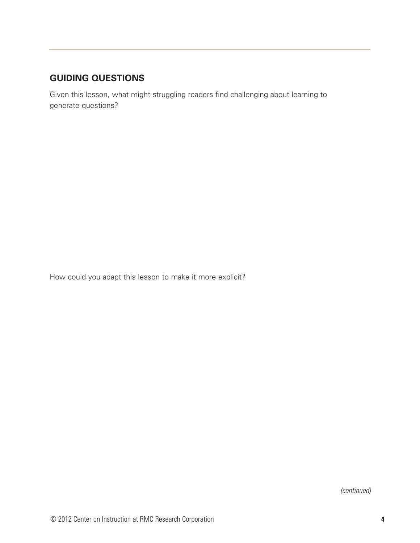# **GUIDING QUESTIONS**

Given this lesson, what might struggling readers find challenging about learning to generate questions?

How could you adapt this lesson to make it more explicit?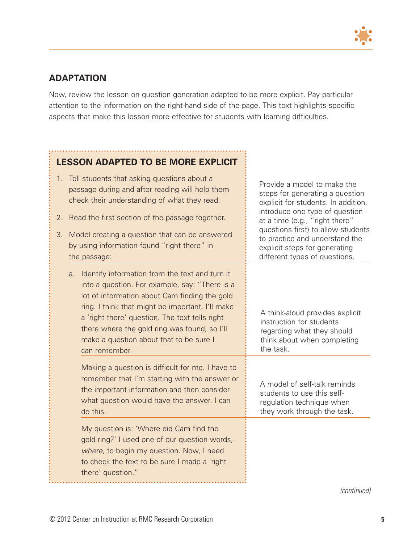

# **ADAPTATION**

Now, review the lesson on question generation adapted to be more explicit. Pay particular attention to the information on the right-hand side of the page. This text highlights specific aspects that make this lesson more effective for students with learning difficulties.

# **LESSON ADAPTED TO BE MORE EXPLICIT**

- 1. Tell students that asking questions about a passage during and after reading will help them check their understanding of what they read.
- 2. Read the first section of the passage together.
- 3. Model creating a question that can be answered by using information found "right there" in the passage:
	- a. Identify information from the text and turn it into a question. For example, say: "There is a lot of information about Cam finding the gold ring. I think that might be important. I'll make a 'right there' question. The text tells right there where the gold ring was found, so I'll make a question about that to be sure I can remember.

Making a question is difficult for me. I have to remember that I'm starting with the answer or the important information and then consider what question would have the answer. I can do this.

My question is: 'Where did Cam find the gold ring?' I used one of our question words, where, to begin my question. Now, I need to check the text to be sure I made a 'right there' question."

Provide a model to make the steps for generating a question explicit for students. In addition, introduce one type of question at a time (e.g., "right there" questions first) to allow students to practice and understand the explicit steps for generating different types of questions.

A think-aloud provides explicit instruction for students regarding what they should think about when completing the task.

A model of self-talk reminds students to use this selfregulation technique when they work through the task.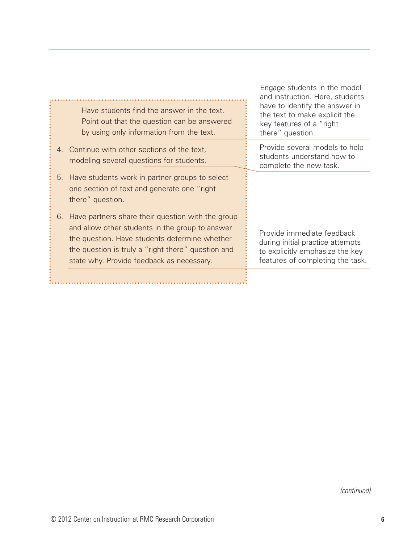| Have students find the answer in the text.<br>Point out that the question can be answered<br>by using only information from the text.                                                                                                                          | and instruction. Here, students<br>have to identify the answer in<br>the text to make explicit the<br>key features of a "right<br>there" question. |
|----------------------------------------------------------------------------------------------------------------------------------------------------------------------------------------------------------------------------------------------------------------|----------------------------------------------------------------------------------------------------------------------------------------------------|
| Continue with other sections of the text,<br>4.<br>modeling several questions for students.                                                                                                                                                                    | Provide several models to help<br>students understand how to<br>complete the new task.                                                             |
| Have students work in partner groups to select<br>5.<br>one section of text and generate one "right"<br>there" question.                                                                                                                                       |                                                                                                                                                    |
| Have partners share their question with the group<br>6.<br>and allow other students in the group to answer<br>the question. Have students determine whether<br>the question is truly a "right there" question and<br>state why. Provide feedback as necessary. | Provide immediate feedback<br>during initial practice attempts<br>to explicitly emphasize the key<br>features of completing the task.              |
|                                                                                                                                                                                                                                                                |                                                                                                                                                    |

Engage students in the model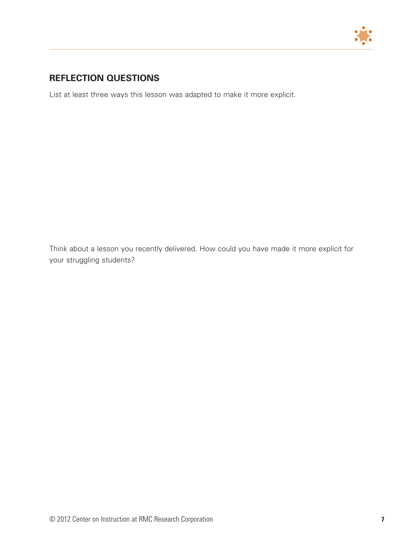

# **REFLECTION QUESTIONS**

List at least three ways this lesson was adapted to make it more explicit.

Think about a lesson you recently delivered. How could you have made it more explicit for your struggling students?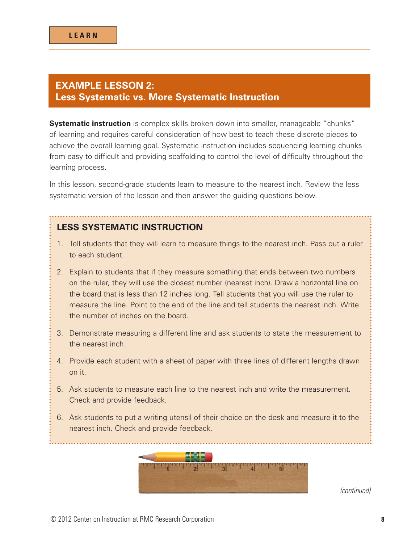### **EXAMPLE LESSON 2: Less Systematic vs. More Systematic Instruction**

**Systematic instruction** is complex skills broken down into smaller, manageable "chunks" of learning and requires careful consideration of how best to teach these discrete pieces to achieve the overall learning goal. Systematic instruction includes sequencing learning chunks from easy to difficult and providing scaffolding to control the level of difficulty throughout the learning process.

In this lesson, second-grade students learn to measure to the nearest inch. Review the less systematic version of the lesson and then answer the guiding questions below.

### **LESS SYSTEMATIC INSTRUCTION**

- 1. Tell students that they will learn to measure things to the nearest inch. Pass out a ruler to each student.
- 2. Explain to students that if they measure something that ends between two numbers on the ruler, they will use the closest number (nearest inch). Draw a horizontal line on the board that is less than 12 inches long. Tell students that you will use the ruler to measure the line. Point to the end of the line and tell students the nearest inch. Write the number of inches on the board.
- 3. Demonstrate measuring a different line and ask students to state the measurement to the nearest inch.
- 4. Provide each student with a sheet of paper with three lines of different lengths drawn on it.
- 5. Ask students to measure each line to the nearest inch and write the measurement. Check and provide feedback.
- 6. Ask students to put a writing utensil of their choice on the desk and measure it to the nearest inch. Check and provide feedback.

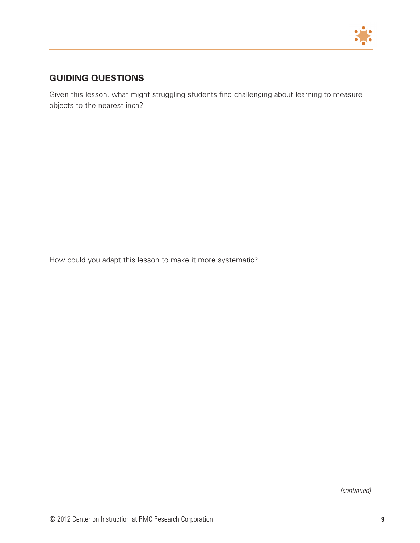

# **GUIDING QUESTIONS**

Given this lesson, what might struggling students find challenging about learning to measure objects to the nearest inch?

How could you adapt this lesson to make it more systematic?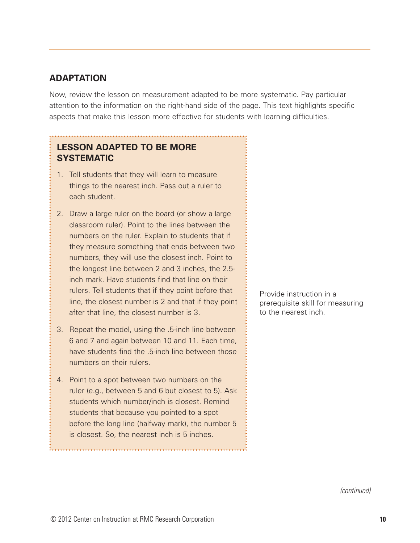## **ADAPTATION**

Now, review the lesson on measurement adapted to be more systematic. Pay particular attention to the information on the right-hand side of the page. This text highlights specific aspects that make this lesson more effective for students with learning difficulties.

| <b>LESSON ADAPTED TO BE MORE</b><br><b>SYSTEMATIC</b>                                                                                                                                                                                                                                                                                                                                                                                                                                                                                      |                                                                                      |
|--------------------------------------------------------------------------------------------------------------------------------------------------------------------------------------------------------------------------------------------------------------------------------------------------------------------------------------------------------------------------------------------------------------------------------------------------------------------------------------------------------------------------------------------|--------------------------------------------------------------------------------------|
| Tell students that they will learn to measure<br>1.<br>things to the nearest inch. Pass out a ruler to<br>each student.                                                                                                                                                                                                                                                                                                                                                                                                                    |                                                                                      |
| 2.<br>Draw a large ruler on the board (or show a large<br>classroom ruler). Point to the lines between the<br>numbers on the ruler. Explain to students that if<br>they measure something that ends between two<br>numbers, they will use the closest inch. Point to<br>the longest line between 2 and 3 inches, the 2.5-<br>inch mark. Have students find that line on their<br>rulers. Tell students that if they point before that<br>line, the closest number is 2 and that if they point<br>after that line, the closest number is 3. | Provide instruction in a<br>prerequisite skill for measuring<br>to the nearest inch. |
| Repeat the model, using the .5-inch line between<br>3.<br>6 and 7 and again between 10 and 11. Each time,<br>have students find the .5-inch line between those<br>numbers on their rulers.                                                                                                                                                                                                                                                                                                                                                 |                                                                                      |
| Point to a spot between two numbers on the<br>4.<br>ruler (e.g., between 5 and 6 but closest to 5). Ask<br>students which number/inch is closest. Remind<br>students that because you pointed to a spot<br>before the long line (halfway mark), the number 5<br>is closest. So, the nearest inch is 5 inches.                                                                                                                                                                                                                              |                                                                                      |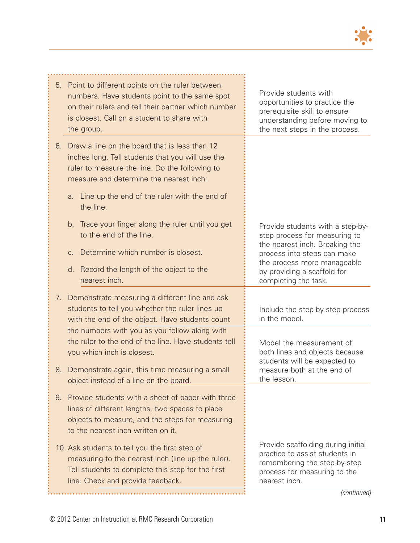

| Point to different points on the ruler between<br>5.<br>numbers. Have students point to the same spot<br>on their rulers and tell their partner which number<br>is closest. Call on a student to share with<br>the group. | Provide students with<br>opportunities to practice the<br>prerequisite skill to ensure<br>understanding before moving to<br>the next steps in the process. |
|---------------------------------------------------------------------------------------------------------------------------------------------------------------------------------------------------------------------------|------------------------------------------------------------------------------------------------------------------------------------------------------------|
| Draw a line on the board that is less than 12<br>6.<br>inches long. Tell students that you will use the<br>ruler to measure the line. Do the following to<br>measure and determine the nearest inch:                      |                                                                                                                                                            |
| a. Line up the end of the ruler with the end of<br>the line.                                                                                                                                                              |                                                                                                                                                            |
| b. Trace your finger along the ruler until you get<br>to the end of the line.<br>Determine which number is closest.<br>C <sub>1</sub>                                                                                     | Provide students with a step-by-<br>step process for measuring to<br>the nearest inch. Breaking the<br>process into steps can make                         |
| d. Record the length of the object to the<br>nearest inch.                                                                                                                                                                | the process more manageable<br>by providing a scaffold for<br>completing the task.                                                                         |
| 7. Demonstrate measuring a different line and ask                                                                                                                                                                         |                                                                                                                                                            |
| students to tell you whether the ruler lines up<br>with the end of the object. Have students count                                                                                                                        | Include the step-by-step process<br>in the model.                                                                                                          |
| the numbers with you as you follow along with<br>the ruler to the end of the line. Have students tell<br>you which inch is closest.                                                                                       | Model the measurement of<br>both lines and objects because<br>students will be expected to                                                                 |
| Demonstrate again, this time measuring a small<br>8.<br>object instead of a line on the board.                                                                                                                            | measure both at the end of<br>the lesson.                                                                                                                  |
| Provide students with a sheet of paper with three<br>9.<br>lines of different lengths, two spaces to place<br>objects to measure, and the steps for measuring<br>to the nearest inch written on it.                       |                                                                                                                                                            |
| 10. Ask students to tell you the first step of<br>measuring to the nearest inch (line up the ruler).<br>Tell students to complete this step for the first<br>line. Check and provide feedback.                            | Provide scaffolding during initial<br>practice to assist students in<br>remembering the step-by-step<br>process for measuring to the<br>nearest inch.      |
|                                                                                                                                                                                                                           | (continued)                                                                                                                                                |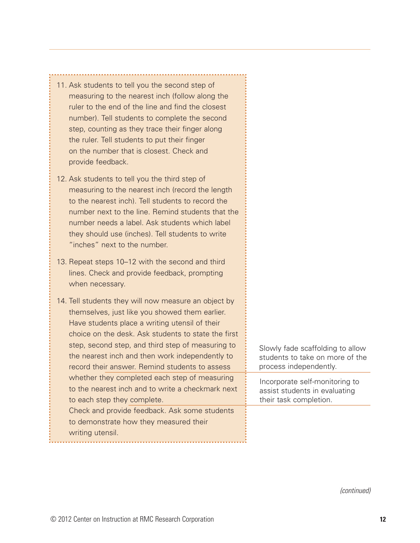| 11. Ask students to tell you the second step of<br>measuring to the nearest inch (follow along the<br>ruler to the end of the line and find the closest<br>number). Tell students to complete the second<br>step, counting as they trace their finger along<br>the ruler. Tell students to put their finger<br>on the number that is closest. Check and<br>provide feedback. |                                                                                               |
|------------------------------------------------------------------------------------------------------------------------------------------------------------------------------------------------------------------------------------------------------------------------------------------------------------------------------------------------------------------------------|-----------------------------------------------------------------------------------------------|
| 12. Ask students to tell you the third step of<br>measuring to the nearest inch (record the length<br>to the nearest inch). Tell students to record the<br>number next to the line. Remind students that the<br>number needs a label. Ask students which label<br>they should use (inches). Tell students to write<br>"inches" next to the number.                           |                                                                                               |
| 13. Repeat steps 10-12 with the second and third<br>lines. Check and provide feedback, prompting<br>when necessary.                                                                                                                                                                                                                                                          |                                                                                               |
| 14. Tell students they will now measure an object by<br>themselves, just like you showed them earlier.<br>Have students place a writing utensil of their<br>choice on the desk. Ask students to state the first<br>step, second step, and third step of measuring to<br>the nearest inch and then work independently to<br>record their answer. Remind students to assess    | Slowly fade scaffolding to allow<br>students to take on more of the<br>process independently. |
| whether they completed each step of measuring<br>to the nearest inch and to write a checkmark next<br>to each step they complete.                                                                                                                                                                                                                                            | Incorporate self-monitoring to<br>assist students in evaluating<br>their task completion.     |
| Check and provide feedback. Ask some students<br>to demonstrate how they measured their<br>writing utensil.                                                                                                                                                                                                                                                                  |                                                                                               |

*(continued)*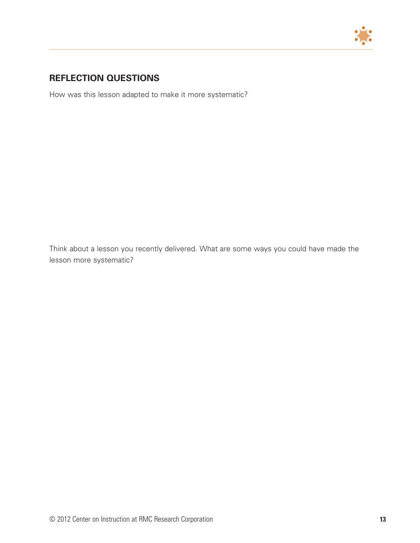

# **REFLECTION QUESTIONS**

How was this lesson adapted to make it more systematic?

Think about a lesson you recently delivered. What are some ways you could have made the lesson more systematic?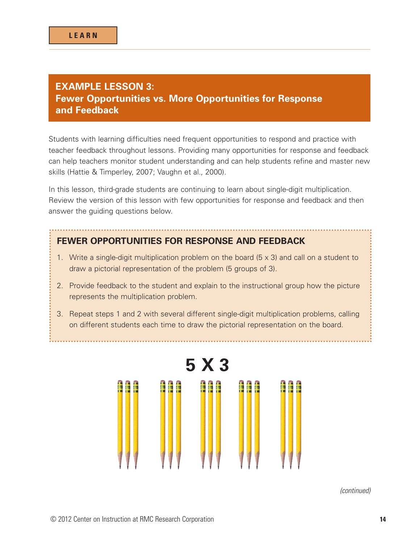## **EXAMPLE LESSON 3: Fewer Opportunities vs. More Opportunities for Response and Feedback**

Students with learning difficulties need frequent opportunities to respond and practice with teacher feedback throughout lessons. Providing many opportunities for response and feedback can help teachers monitor student understanding and can help students refine and master new skills (Hattie & Timperley, 2007; Vaughn et al., 2000).

In this lesson, third-grade students are continuing to learn about single-digit multiplication. Review the version of this lesson with few opportunities for response and feedback and then answer the guiding questions below.

#### **FEWER OPPORTUNITIES FOR RESPONSE AND FEEDBACK**

- 1. Write a single-digit multiplication problem on the board (5 x 3) and call on a student to draw a pictorial representation of the problem (5 groups of 3).
- 2. Provide feedback to the student and explain to the instructional group how the picture represents the multiplication problem.
- 3. Repeat steps 1 and 2 with several different single-digit multiplication problems, calling on different students each time to draw the pictorial representation on the board.

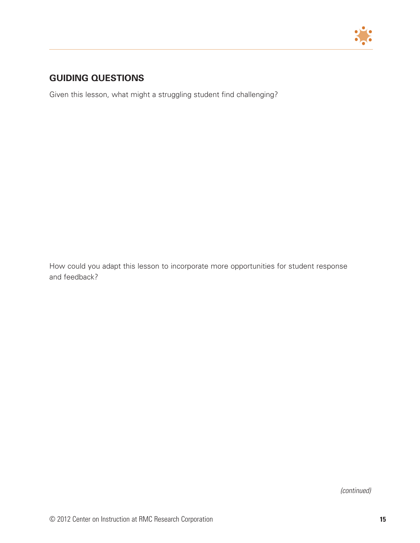

# **GUIDING QUESTIONS**

Given this lesson, what might a struggling student find challenging?

How could you adapt this lesson to incorporate more opportunities for student response and feedback?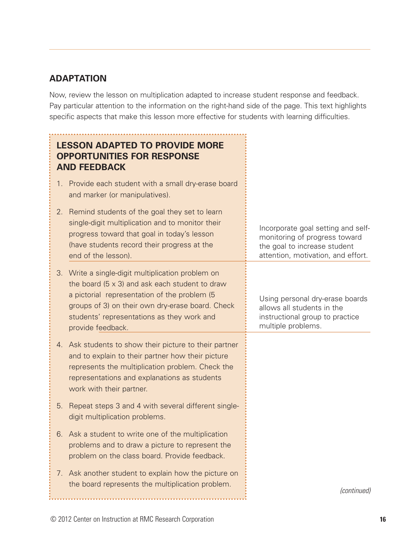# **ADAPTATION**

Now, review the lesson on multiplication adapted to increase student response and feedback. Pay particular attention to the information on the right-hand side of the page. This text highlights specific aspects that make this lesson more effective for students with learning difficulties.

| <b>LESSON ADAPTED TO PROVIDE MORE</b><br><b>OPPORTUNITIES FOR RESPONSE</b><br><b>AND FEEDBACK</b>                                                                                                                                                                                    |                                                                                                                                           |
|--------------------------------------------------------------------------------------------------------------------------------------------------------------------------------------------------------------------------------------------------------------------------------------|-------------------------------------------------------------------------------------------------------------------------------------------|
| Provide each student with a small dry-erase board<br>1 <sub>1</sub><br>and marker (or manipulatives).                                                                                                                                                                                |                                                                                                                                           |
| Remind students of the goal they set to learn<br>2.<br>single-digit multiplication and to monitor their<br>progress toward that goal in today's lesson<br>(have students record their progress at the<br>end of the lesson).                                                         | Incorporate goal setting and self-<br>monitoring of progress toward<br>the goal to increase student<br>attention, motivation, and effort. |
| Write a single-digit multiplication problem on<br>3.<br>the board $(5 \times 3)$ and ask each student to draw<br>a pictorial representation of the problem (5<br>groups of 3) on their own dry-erase board. Check<br>students' representations as they work and<br>provide feedback. | Using personal dry-erase boards<br>allows all students in the<br>instructional group to practice<br>multiple problems.                    |
| 4. Ask students to show their picture to their partner<br>and to explain to their partner how their picture<br>represents the multiplication problem. Check the<br>representations and explanations as students<br>work with their partner.                                          |                                                                                                                                           |
| 5.<br>Repeat steps 3 and 4 with several different single-<br>digit multiplication problems.                                                                                                                                                                                          |                                                                                                                                           |
| 6. Ask a student to write one of the multiplication<br>problems and to draw a picture to represent the<br>problem on the class board. Provide feedback.                                                                                                                              |                                                                                                                                           |
| Ask another student to explain how the picture on<br>7.<br>the board represents the multiplication problem.                                                                                                                                                                          | (continued)                                                                                                                               |